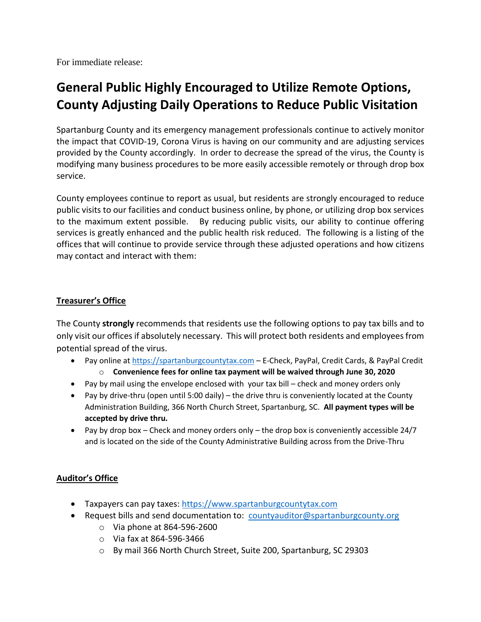For immediate release:

# **General Public Highly Encouraged to Utilize Remote Options, County Adjusting Daily Operations to Reduce Public Visitation**

Spartanburg County and its emergency management professionals continue to actively monitor the impact that COVID-19, Corona Virus is having on our community and are adjusting services provided by the County accordingly. In order to decrease the spread of the virus, the County is modifying many business procedures to be more easily accessible remotely or through drop box service.

County employees continue to report as usual, but residents are strongly encouraged to reduce public visits to our facilities and conduct business online, by phone, or utilizing drop box services to the maximum extent possible. By reducing public visits, our ability to continue offering services is greatly enhanced and the public health risk reduced. The following is a listing of the offices that will continue to provide service through these adjusted operations and how citizens may contact and interact with them:

## **Treasurer's Office**

The County **strongly** recommends that residents use the following options to pay tax bills and to only visit our offices if absolutely necessary. This will protect both residents and employees from potential spread of the virus.

- Pay online at [https://spartanburgcountytax.com](https://spartanburgcountytax.com/) E-Check, PayPal, Credit Cards, & PayPal Credit o **Convenience fees for online tax payment will be waived through June 30, 2020**
- Pay by mail using the envelope enclosed with your tax bill check and money orders only
- Pay by drive-thru (open until 5:00 daily) the drive thru is conveniently located at the County Administration Building, 366 North Church Street, Spartanburg, SC. **All payment types will be accepted by drive thru.**
- Pay by drop box Check and money orders only the drop box is conveniently accessible  $24/7$ and is located on the side of the County Administrative Building across from the Drive-Thru

# **Auditor's Office**

- Taxpayers can pay taxes: [https://www.spartanburgcountytax.com](https://www.spartanburgcountytax.com/)
- Request bills and send documentation to: [countyauditor@spartanburgcounty.org](mailto:countyauditor@spartanburgcounty.org)
	- o Via phone at 864-596-2600
	- o Via fax at 864-596-3466
	- o By mail 366 North Church Street, Suite 200, Spartanburg, SC 29303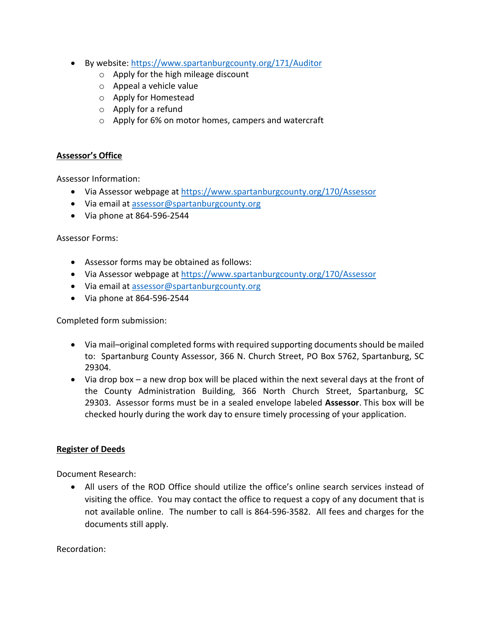- By website:<https://www.spartanburgcounty.org/171/Auditor>
	- o Apply for the high mileage discount
	- o Appeal a vehicle value
	- o Apply for Homestead
	- o Apply for a refund
	- o Apply for 6% on motor homes, campers and watercraft

# **Assessor's Office**

Assessor Information:

- Via Assessor webpage at<https://www.spartanburgcounty.org/170/Assessor>
- Via email at [assessor@spartanburgcounty.org](mailto:assessor@spartanburgcounty.org)
- Via phone at 864-596-2544

## Assessor Forms:

- Assessor forms may be obtained as follows:
- Via Assessor webpage at<https://www.spartanburgcounty.org/170/Assessor>
- Via email at [assessor@spartanburgcounty.org](mailto:assessor@spartanburgcounty.org)
- Via phone at 864-596-2544

Completed form submission:

- Via mail–original completed forms with required supporting documents should be mailed to: Spartanburg County Assessor, 366 N. Church Street, PO Box 5762, Spartanburg, SC 29304.
- Via drop box a new drop box will be placed within the next several days at the front of the County Administration Building, 366 North Church Street, Spartanburg, SC 29303. Assessor forms must be in a sealed envelope labeled **Assessor**. This box will be checked hourly during the work day to ensure timely processing of your application.

# **Register of Deeds**

Document Research:

 All users of the ROD Office should utilize the office's online search services instead of visiting the office. You may contact the office to request a copy of any document that is not available online. The number to call is 864-596-3582. All fees and charges for the documents still apply.

Recordation: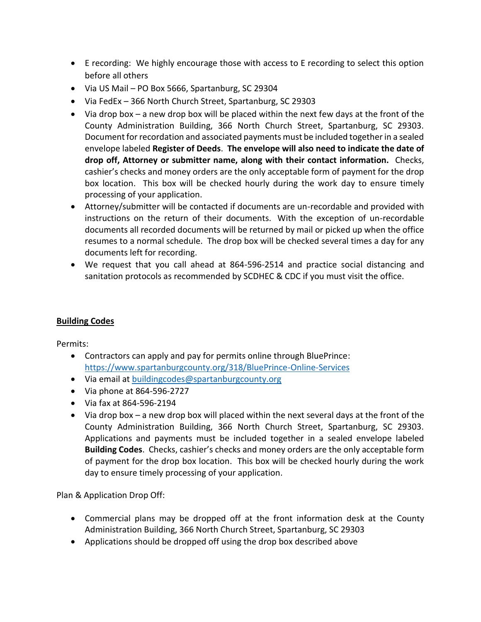- E recording: We highly encourage those with access to E recording to select this option before all others
- Via US Mail PO Box 5666, Spartanburg, SC 29304
- Via FedEx 366 North Church Street, Spartanburg, SC 29303
- Via drop box a new drop box will be placed within the next few days at the front of the County Administration Building, 366 North Church Street, Spartanburg, SC 29303. Document for recordation and associated payments must be included together in a sealed envelope labeled **Register of Deeds**. **The envelope will also need to indicate the date of drop off, Attorney or submitter name, along with their contact information.** Checks, cashier's checks and money orders are the only acceptable form of payment for the drop box location. This box will be checked hourly during the work day to ensure timely processing of your application.
- Attorney/submitter will be contacted if documents are un-recordable and provided with instructions on the return of their documents. With the exception of un-recordable documents all recorded documents will be returned by mail or picked up when the office resumes to a normal schedule. The drop box will be checked several times a day for any documents left for recording.
- We request that you call ahead at 864-596-2514 and practice social distancing and sanitation protocols as recommended by SCDHEC & CDC if you must visit the office.

## **Building Codes**

Permits:

- Contractors can apply and pay for permits online through BluePrince: <https://www.spartanburgcounty.org/318/BluePrince-Online-Services>
- Via email at [buildingcodes@spartanburgcounty.org](mailto:buildingcodes@spartanburgcounty.org)
- Via phone at 864-596-2727
- Via fax at 864-596-2194
- Via drop box a new drop box will placed within the next several days at the front of the County Administration Building, 366 North Church Street, Spartanburg, SC 29303. Applications and payments must be included together in a sealed envelope labeled **Building Codes**. Checks, cashier's checks and money orders are the only acceptable form of payment for the drop box location. This box will be checked hourly during the work day to ensure timely processing of your application.

Plan & Application Drop Off:

- Commercial plans may be dropped off at the front information desk at the County Administration Building, 366 North Church Street, Spartanburg, SC 29303
- Applications should be dropped off using the drop box described above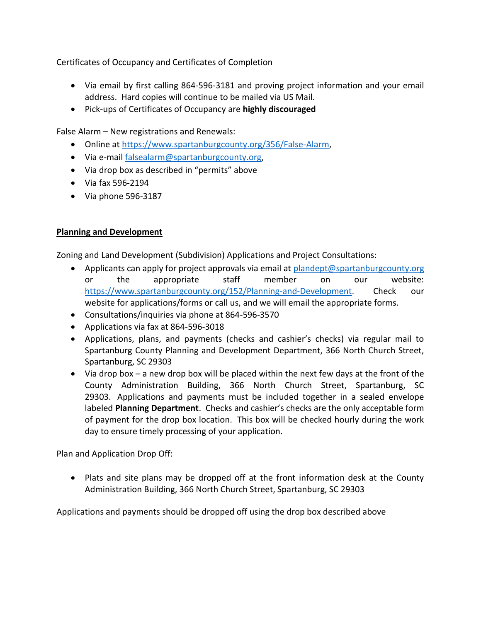Certificates of Occupancy and Certificates of Completion

- Via email by first calling 864-596-3181 and proving project information and your email address. Hard copies will continue to be mailed via US Mail.
- Pick-ups of Certificates of Occupancy are **highly discouraged**

False Alarm – New registrations and Renewals:

- Online at [https://www.spartanburgcounty.org/356/False-Alarm,](https://www.spartanburgcounty.org/356/False-Alarm)
- Via e-mail [falsealarm@spartanburgcounty.org,](mailto:falsealarm@spartanburgcounty.org)
- Via drop box as described in "permits" above
- Via fax 596-2194
- $\bullet$  Via phone 596-3187

# **Planning and Development**

Zoning and Land Development (Subdivision) Applications and Project Consultations:

- Applicants can apply for project approvals via email at [plandept@spartanburgcounty.org](mailto:plandept@spartanburgcounty.org) or the appropriate staff member on our website: [https://www.spartanburgcounty.org/152/Planning-and-Development.](https://www.spartanburgcounty.org/152/Planning-and-Development) Check our website for applications/forms or call us, and we will email the appropriate forms.
- Consultations/inquiries via phone at 864-596-3570
- Applications via fax at 864-596-3018
- Applications, plans, and payments (checks and cashier's checks) via regular mail to Spartanburg County Planning and Development Department, 366 North Church Street, Spartanburg, SC 29303
- Via drop box a new drop box will be placed within the next few days at the front of the County Administration Building, 366 North Church Street, Spartanburg, SC 29303. Applications and payments must be included together in a sealed envelope labeled **Planning Department**. Checks and cashier's checks are the only acceptable form of payment for the drop box location. This box will be checked hourly during the work day to ensure timely processing of your application.

Plan and Application Drop Off:

 Plats and site plans may be dropped off at the front information desk at the County Administration Building, 366 North Church Street, Spartanburg, SC 29303

Applications and payments should be dropped off using the drop box described above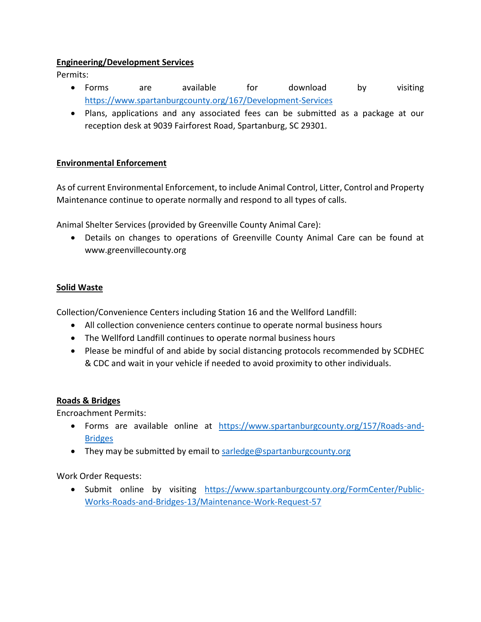# **Engineering/Development Services**

Permits:

- Forms are available for download by visiting <https://www.spartanburgcounty.org/167/Development-Services>
- Plans, applications and any associated fees can be submitted as a package at our reception desk at 9039 Fairforest Road, Spartanburg, SC 29301.

# **Environmental Enforcement**

As of current Environmental Enforcement, to include Animal Control, Litter, Control and Property Maintenance continue to operate normally and respond to all types of calls.

Animal Shelter Services (provided by Greenville County Animal Care):

 Details on changes to operations of Greenville County Animal Care can be found at www.greenvillecounty.org

# **Solid Waste**

Collection/Convenience Centers including Station 16 and the Wellford Landfill:

- All collection convenience centers continue to operate normal business hours
- The Wellford Landfill continues to operate normal business hours
- Please be mindful of and abide by social distancing protocols recommended by SCDHEC & CDC and wait in your vehicle if needed to avoid proximity to other individuals.

# **Roads & Bridges**

Encroachment Permits:

- Forms are available online at [https://www.spartanburgcounty.org/157/Roads-and-](https://www.spartanburgcounty.org/157/Roads-and-Bridges)**[Bridges](https://www.spartanburgcounty.org/157/Roads-and-Bridges)**
- They may be submitted by email to [sarledge@spartanburgcounty.org](mailto:sarledge@spartanburgcounty.org)

Work Order Requests:

• Submit online by visiting [https://www.spartanburgcounty.org/FormCenter/Public-](https://www.spartanburgcounty.org/FormCenter/Public-Works-Roads-and-Bridges-13/Maintenance-Work-Request-57)[Works-Roads-and-Bridges-13/Maintenance-Work-Request-57](https://www.spartanburgcounty.org/FormCenter/Public-Works-Roads-and-Bridges-13/Maintenance-Work-Request-57)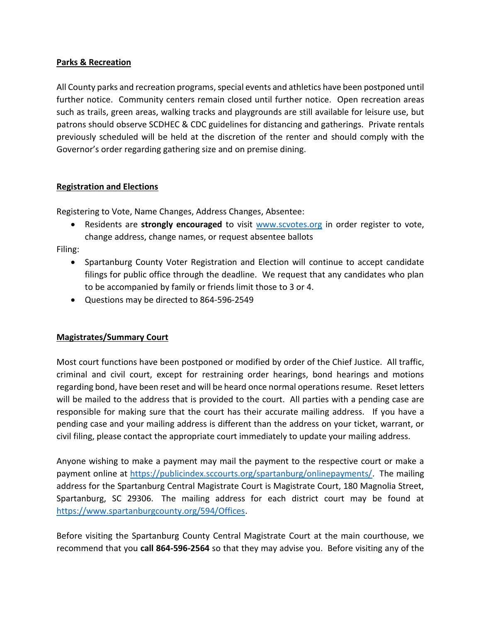# **Parks & Recreation**

All County parks and recreation programs, special events and athletics have been postponed until further notice. Community centers remain closed until further notice. Open recreation areas such as trails, green areas, walking tracks and playgrounds are still available for leisure use, but patrons should observe SCDHEC & CDC guidelines for distancing and gatherings. Private rentals previously scheduled will be held at the discretion of the renter and should comply with the Governor's order regarding gathering size and on premise dining.

## **Registration and Elections**

Registering to Vote, Name Changes, Address Changes, Absentee:

 Residents are **strongly encouraged** to visit [www.scvotes.org](http://www.scvotes.org/) in order register to vote, change address, change names, or request absentee ballots

Filing:

- Spartanburg County Voter Registration and Election will continue to accept candidate filings for public office through the deadline. We request that any candidates who plan to be accompanied by family or friends limit those to 3 or 4.
- Questions may be directed to 864-596-2549

## **Magistrates/Summary Court**

Most court functions have been postponed or modified by order of the Chief Justice. All traffic, criminal and civil court, except for restraining order hearings, bond hearings and motions regarding bond, have been reset and will be heard once normal operations resume. Reset letters will be mailed to the address that is provided to the court. All parties with a pending case are responsible for making sure that the court has their accurate mailing address. If you have a pending case and your mailing address is different than the address on your ticket, warrant, or civil filing, please contact the appropriate court immediately to update your mailing address.

Anyone wishing to make a payment may mail the payment to the respective court or make a payment online at [https://publicindex.sccourts.org/spartanburg/onlinepayments/.](https://publicindex.sccourts.org/spartanburg/onlinepayments/) The mailing address for the Spartanburg Central Magistrate Court is Magistrate Court, 180 Magnolia Street, Spartanburg, SC 29306. The mailing address for each district court may be found at [https://www.spartanburgcounty.org/594/Offices.](https://www.spartanburgcounty.org/594/Offices)

Before visiting the Spartanburg County Central Magistrate Court at the main courthouse, we recommend that you **call 864-596-2564** so that they may advise you. Before visiting any of the